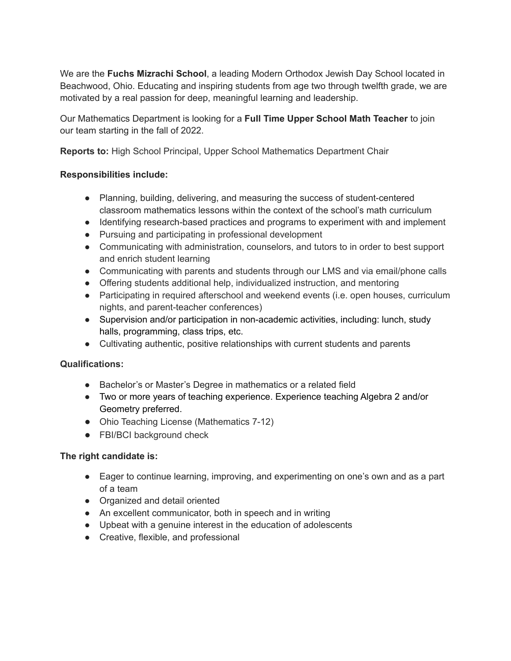We are the **Fuchs Mizrachi School**, a leading Modern Orthodox Jewish Day School located in Beachwood, Ohio. Educating and inspiring students from age two through twelfth grade, we are motivated by a real passion for deep, meaningful learning and leadership.

Our Mathematics Department is looking for a **Full Time Upper School Math Teacher** to join our team starting in the fall of 2022.

**Reports to:** High School Principal, Upper School Mathematics Department Chair

## **Responsibilities include:**

- Planning, building, delivering, and measuring the success of student-centered classroom mathematics lessons within the context of the school's math curriculum
- Identifying research-based practices and programs to experiment with and implement
- Pursuing and participating in professional development
- Communicating with administration, counselors, and tutors to in order to best support and enrich student learning
- Communicating with parents and students through our LMS and via email/phone calls
- Offering students additional help, individualized instruction, and mentoring
- Participating in required afterschool and weekend events (i.e. open houses, curriculum nights, and parent-teacher conferences)
- Supervision and/or participation in non-academic activities, including: lunch, study halls, programming, class trips, etc.
- Cultivating authentic, positive relationships with current students and parents

## **Qualifications:**

- Bachelor's or Master's Degree in mathematics or a related field
- Two or more years of teaching experience. Experience teaching Algebra 2 and/or Geometry preferred.
- Ohio Teaching License (Mathematics 7-12)
- FBI/BCI background check

## **The right candidate is:**

- Eager to continue learning, improving, and experimenting on one's own and as a part of a team
- Organized and detail oriented
- An excellent communicator, both in speech and in writing
- Upbeat with a genuine interest in the education of adolescents
- Creative, flexible, and professional